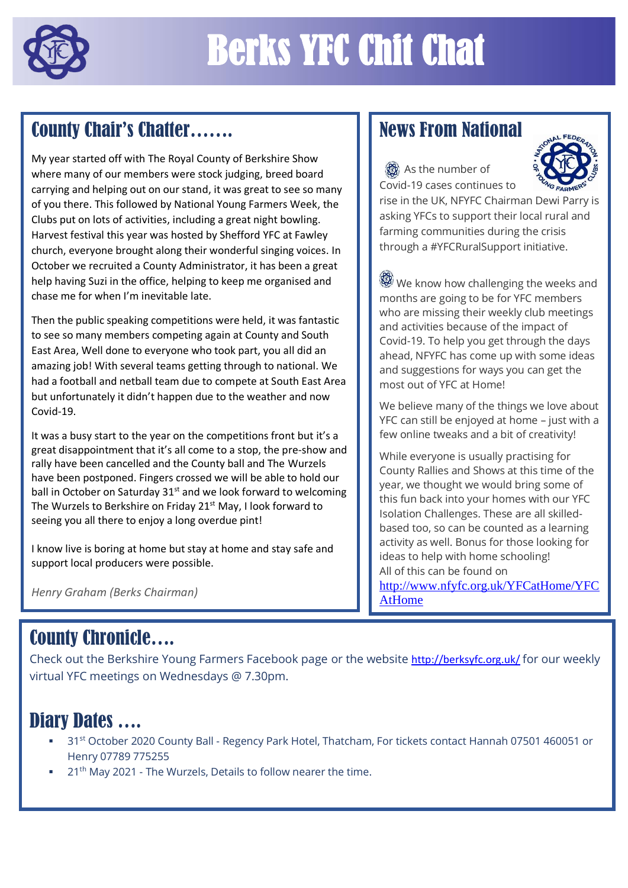

## County Chair's Chatter…….

My year started off with The Royal County of Berkshire Show where many of our members were stock judging, breed board carrying and helping out on our stand, it was great to see so many of you there. This followed by National Young Farmers Week, the Clubs put on lots of activities, including a great night bowling. Harvest festival this year was hosted by Shefford YFC at Fawley church, everyone brought along their wonderful singing voices. In October we recruited a County Administrator, it has been a great help having Suzi in the office, helping to keep me organised and chase me for when I'm inevitable late.

Then the public speaking competitions were held, it was fantastic to see so many members competing again at County and South East Area, Well done to everyone who took part, you all did an amazing job! With several teams getting through to national. We had a football and netball team due to compete at South East Area but unfortunately it didn't happen due to the weather and now Covid-19.

It was a busy start to the year on the competitions front but it's a great disappointment that it's all come to a stop, the pre-show and rally have been cancelled and the County ball and The Wurzels have been postponed. Fingers crossed we will be able to hold our ball in October on Saturday  $31<sup>st</sup>$  and we look forward to welcoming The Wurzels to Berkshire on Friday 21<sup>st</sup> May, I look forward to seeing you all there to enjoy a long overdue pint!

I know live is boring at home but stay at home and stay safe and support local producers were possible.

*Henry Graham (Berks Chairman)* 

## News From National

As the number of Covid-19 cases continues to



rise in the UK, NFYFC Chairman Dewi Parry is asking YFCs to support their local rural and farming communities during the crisis through a #YFCRuralSupport initiative.

We know how challenging the weeks and months are going to be for YFC members who are missing their weekly club meetings and activities because of the impact of Covid-19. To help you get through the days ahead, NFYFC has come up with some ideas and suggestions for ways you can get the most out of YFC at Home!

We believe many of the things we love about YFC can still be enjoyed at home – just with a few online tweaks and a bit of creativity!

While everyone is usually practising for County Rallies and Shows at this time of the year, we thought we would bring some of this fun back into your homes with our YFC Isolation Challenges. These are all skilledbased too, so can be counted as a learning activity as well. Bonus for those looking for ideas to help with home schooling! All of this can be found on [http://www.nfyfc.org.uk/YFCatHome/YFC](http://www.nfyfc.org.uk/YFCatHome/YFCAtHome) [AtHome](http://www.nfyfc.org.uk/YFCatHome/YFCAtHome)

## County Chronicle….

Check out the Berkshire Young Farmers Facebook page or the website <http://berksyfc.org.uk/> for our weekly virtual YFC meetings on Wednesdays @ 7.30pm.

## Diary Dates ….

- 31<sup>st</sup> October 2020 County Ball Regency Park Hotel, Thatcham, For tickets contact Hannah 07501 460051 or Henry 07789 775255
- $21<sup>th</sup>$  May 2021 The Wurzels, Details to follow nearer the time.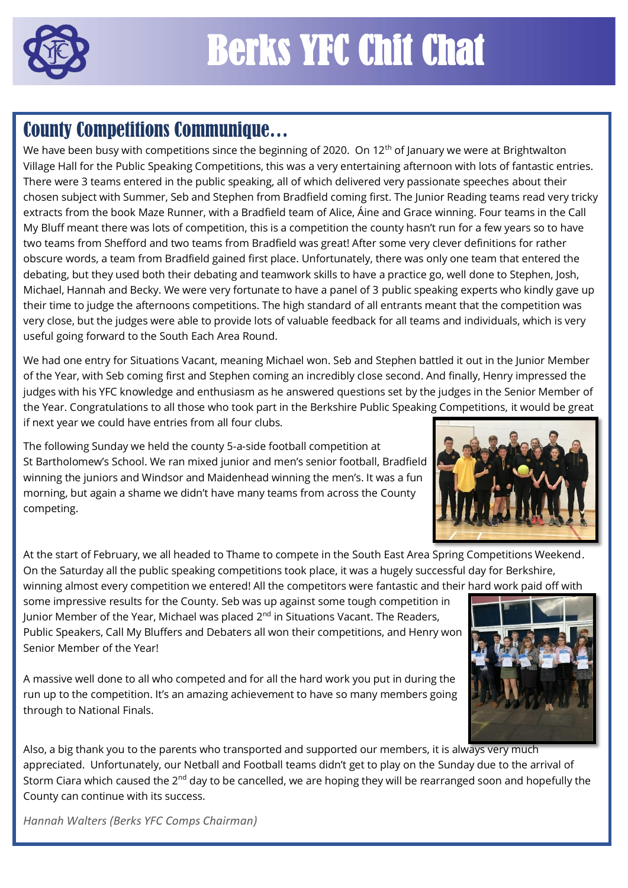

## **County Competitions Communique...**

We have been busy with competitions since the beginning of 2020. On 12<sup>th</sup> of January we were at Brightwalton Village Hall for the Public Speaking Competitions, this was a very entertaining afternoon with lots of fantastic entries. There were 3 teams entered in the public speaking, all of which delivered very passionate speeches about their chosen subject with Summer, Seb and Stephen from Bradfield coming first. The Junior Reading teams read very tricky extracts from the book Maze Runner, with a Bradfield team of Alice, Áine and Grace winning. Four teams in the Call My Bluff meant there was lots of competition, this is a competition the county hasn't run for a few years so to have two teams from Shefford and two teams from Bradfield was great! After some very clever definitions for rather obscure words, a team from Bradfield gained first place. Unfortunately, there was only one team that entered the debating, but they used both their debating and teamwork skills to have a practice go, well done to Stephen, Josh, Michael, Hannah and Becky. We were very fortunate to have a panel of 3 public speaking experts who kindly gave up their time to judge the afternoons competitions. The high standard of all entrants meant that the competition was very close, but the judges were able to provide lots of valuable feedback for all teams and individuals, which is very useful going forward to the South Each Area Round.

We had one entry for Situations Vacant, meaning Michael won. Seb and Stephen battled it out in the Junior Member of the Year, with Seb coming first and Stephen coming an incredibly close second. And finally, Henry impressed the judges with his YFC knowledge and enthusiasm as he answered questions set by the judges in the Senior Member of the Year. Congratulations to all those who took part in the Berkshire Public Speaking Competitions, it would be great if next year we could have entries from all four clubs.

The following Sunday we held the county 5-a-side football competition at St Bartholomew's School. We ran mixed junior and men's senior football, Bradfield winning the juniors and Windsor and Maidenhead winning the men's. It was a fun morning, but again a shame we didn't have many teams from across the County competing.



At the start of February, we all headed to Thame to compete in the South East Area Spring Competitions Weekend. On the Saturday all the public speaking competitions took place, it was a hugely successful day for Berkshire, winning almost every competition we entered! All the competitors were fantastic and their hard work paid off with

some impressive results for the County. Seb was up against some tough competition in Junior Member of the Year, Michael was placed  $2^{nd}$  in Situations Vacant. The Readers, Public Speakers, Call My Bluffers and Debaters all won their competitions, and Henry won Senior Member of the Year!

A massive well done to all who competed and for all the hard work you put in during the run up to the competition. It's an amazing achievement to have so many members going through to National Finals.

Also, a big thank you to the parents who transported and supported our members, it is always very much appreciated. Unfortunately, our Netball and Football teams didn't get to play on the Sunday due to the arrival of Storm Ciara which caused the 2<sup>nd</sup> day to be cancelled, we are hoping they will be rearranged soon and hopefully the County can continue with its success.

*Hannah Walters (Berks YFC Comps Chairman)*

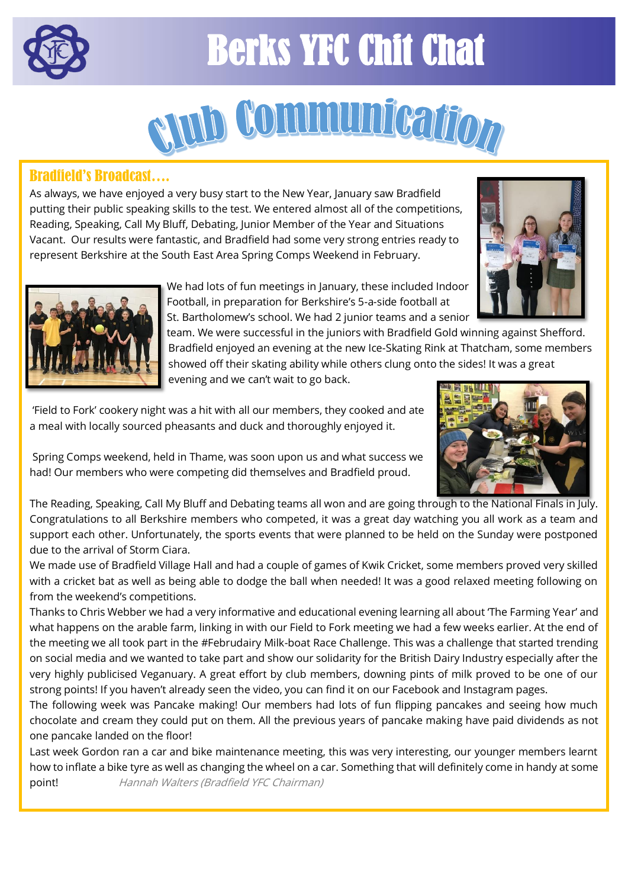

# Berks YFC Chit Chat



### Bradfield's Broadcast….

As always, we have enjoyed a very busy start to the New Year, January saw Bradfield putting their public speaking skills to the test. We entered almost all of the competitions, Reading, Speaking, Call My Bluff, Debating, Junior Member of the Year and Situations Vacant. Our results were fantastic, and Bradfield had some very strong entries ready to represent Berkshire at the South East Area Spring Comps Weekend in February.





 We had lots of fun meetings in January, these included Indoor Football, in preparation for Berkshire's 5-a-side football at St. Bartholomew's school. We had 2 junior teams and a senior

team. We were successful in the juniors with Bradfield Gold winning against Shefford. Bradfield enjoyed an evening at the new Ice-Skating Rink at Thatcham, some members showed off their skating ability while others clung onto the sides! It was a great

evening and we can't wait to go back.

'Field to Fork' cookery night was a hit with all our members, they cooked and ate a meal with locally sourced pheasants and duck and thoroughly enjoyed it.



Spring Comps weekend, held in Thame, was soon upon us and what success we had! Our members who were competing did themselves and Bradfield proud.

The Reading, Speaking, Call My Bluff and Debating teams all won and are going through to the National Finals in July. Congratulations to all Berkshire members who competed, it was a great day watching you all work as a team and support each other. Unfortunately, the sports events that were planned to be held on the Sunday were postponed due to the arrival of Storm Ciara.

We made use of Bradfield Village Hall and had a couple of games of Kwik Cricket, some members proved very skilled with a cricket bat as well as being able to dodge the ball when needed! It was a good relaxed meeting following on from the weekend's competitions.

Thanks to Chris Webber we had a very informative and educational evening learning all about 'The Farming Year' and what happens on the arable farm, linking in with our Field to Fork meeting we had a few weeks earlier. At the end of the meeting we all took part in the #Februdairy Milk-boat Race Challenge. This was a challenge that started trending on social media and we wanted to take part and show our solidarity for the British Dairy Industry especially after the very highly publicised Veganuary. A great effort by club members, downing pints of milk proved to be one of our strong points! If you haven't already seen the video, you can find it on our Facebook and Instagram pages.

The following week was Pancake making! Our members had lots of fun flipping pancakes and seeing how much chocolate and cream they could put on them. All the previous years of pancake making have paid dividends as not one pancake landed on the floor!

Last week Gordon ran a car and bike maintenance meeting, this was very interesting, our younger members learnt how to inflate a bike tyre as well as changing the wheel on a car. Something that will definitely come in handy at some point! Hannah Walters (Bradfield YFC Chairman)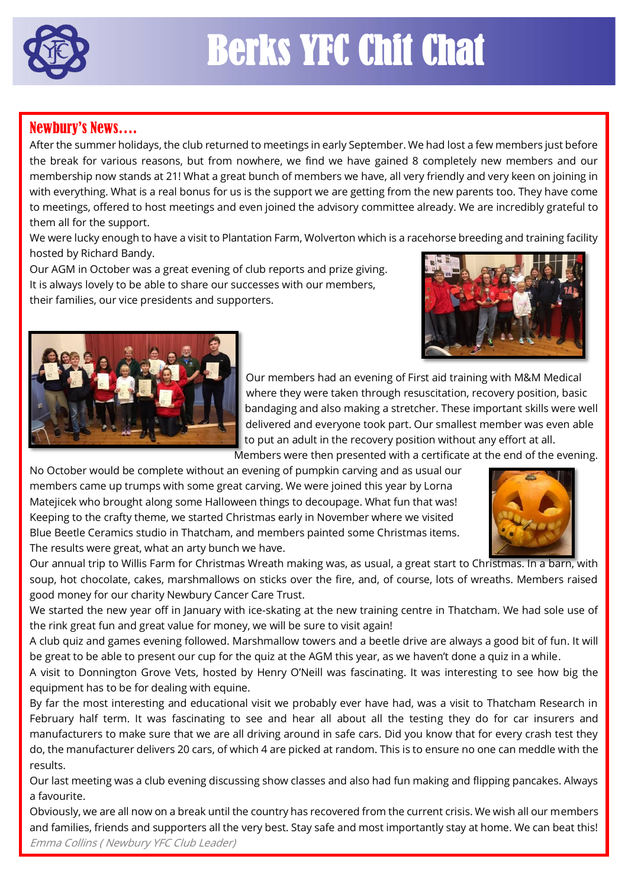

# Berks YFC Chit Chat

### Newbury's News….

After the summer holidays, the club returned to meetings in early September. We had lost a few members just before the break for various reasons, but from nowhere, we find we have gained 8 completely new members and our membership now stands at 21! What a great bunch of members we have, all very friendly and very keen on joining in with everything. What is a real bonus for us is the support we are getting from the new parents too. They have come to meetings, offered to host meetings and even joined the advisory committee already. We are incredibly grateful to them all for the support.

We were lucky enough to have a visit to Plantation Farm, Wolverton which is a racehorse breeding and training facility hosted by Richard Bandy.

Our AGM in October was a great evening of club reports and prize giving. It is always lovely to be able to share our successes with our members, their families, our vice presidents and supporters.





 Our members had an evening of First aid training with M&M Medical where they were taken through resuscitation, recovery position, basic bandaging and also making a stretcher. These important skills were well delivered and everyone took part. Our smallest member was even able to put an adult in the recovery position without any effort at all.

Members were then presented with a certificate at the end of the evening.

No October would be complete without an evening of pumpkin carving and as usual our members came up trumps with some great carving. We were joined this year by Lorna Matejicek who brought along some Halloween things to decoupage. What fun that was! Keeping to the crafty theme, we started Christmas early in November where we visited Blue Beetle Ceramics studio in Thatcham, and members painted some Christmas items. The results were great, what an arty bunch we have.



Our annual trip to Willis Farm for Christmas Wreath making was, as usual, a great start to Christmas. In a barn, with soup, hot chocolate, cakes, marshmallows on sticks over the fire, and, of course, lots of wreaths. Members raised good money for our charity Newbury Cancer Care Trust.

We started the new year off in January with ice-skating at the new training centre in Thatcham. We had sole use of the rink great fun and great value for money, we will be sure to visit again!

A club quiz and games evening followed. Marshmallow towers and a beetle drive are always a good bit of fun. It will be great to be able to present our cup for the quiz at the AGM this year, as we haven't done a quiz in a while.

A visit to Donnington Grove Vets, hosted by Henry O'Neill was fascinating. It was interesting to see how big the equipment has to be for dealing with equine.

By far the most interesting and educational visit we probably ever have had, was a visit to Thatcham Research in February half term. It was fascinating to see and hear all about all the testing they do for car insurers and manufacturers to make sure that we are all driving around in safe cars. Did you know that for every crash test they do, the manufacturer delivers 20 cars, of which 4 are picked at random. This is to ensure no one can meddle with the results.

Our last meeting was a club evening discussing show classes and also had fun making and flipping pancakes. Always a favourite.

Obviously, we are all now on a break until the country has recovered from the current crisis. We wish all our members and families, friends and supporters all the very best. Stay safe and most importantly stay at home. We can beat this! Emma Collins ( Newbury YFC Club Leader)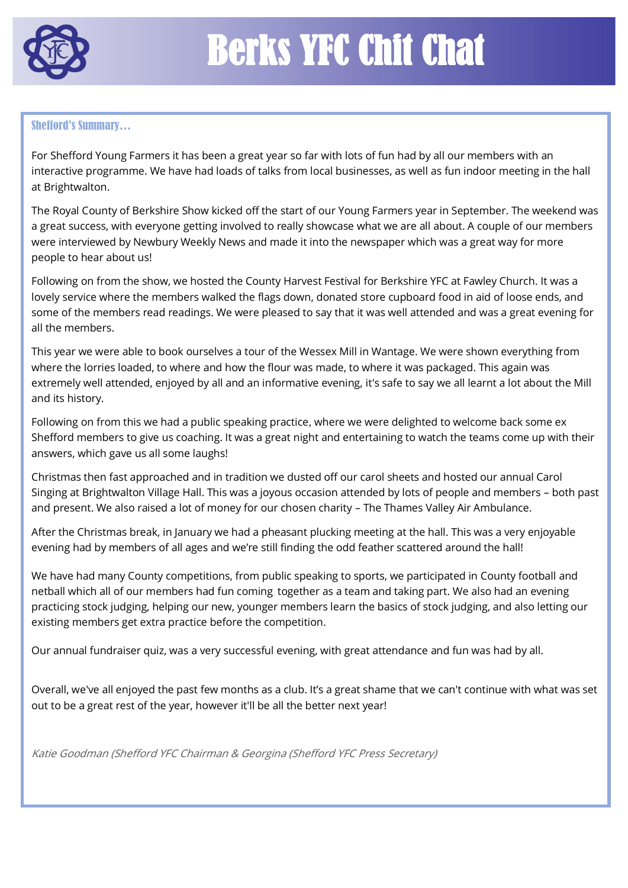

#### Shefford's Summary…

For Shefford Young Farmers it has been a great year so far with lots of fun had by all our members with an interactive programme. We have had loads of talks from local businesses, as well as fun indoor meeting in the hall at Brightwalton.

The Royal County of Berkshire Show kicked off the start of our Young Farmers year in September. The weekend was a great success, with everyone getting involved to really showcase what we are all about. A couple of our members were interviewed by Newbury Weekly News and made it into the newspaper which was a great way for more people to hear about us!

Following on from the show, we hosted the County Harvest Festival for Berkshire YFC at Fawley Church. It was a lovely service where the members walked the flags down, donated store cupboard food in aid of loose ends, and some of the members read readings. We were pleased to say that it was well attended and was a great evening for all the members.

This year we were able to book ourselves a tour of the Wessex Mill in Wantage. We were shown everything from where the lorries loaded, to where and how the flour was made, to where it was packaged. This again was extremely well attended, enjoyed by all and an informative evening, it's safe to say we all learnt a lot about the Mill and its history.

Following on from this we had a public speaking practice, where we were delighted to welcome back some ex Shefford members to give us coaching. It was a great night and entertaining to watch the teams come up with their answers, which gave us all some laughs!

Christmas then fast approached and in tradition we dusted off our carol sheets and hosted our annual Carol Singing at Brightwalton Village Hall. This was a joyous occasion attended by lots of people and members – both past and present. We also raised a lot of money for our chosen charity – The Thames Valley Air Ambulance.

After the Christmas break, in January we had a pheasant plucking meeting at the hall. This was a very enjoyable evening had by members of all ages and we're still finding the odd feather scattered around the hall!

We have had many County competitions, from public speaking to sports, we participated in County football and netball which all of our members had fun coming together as a team and taking part. We also had an evening practicing stock judging, helping our new, younger members learn the basics of stock judging, and also letting our existing members get extra practice before the competition.

Our annual fundraiser quiz, was a very successful evening, with great attendance and fun was had by all.

Overall, we've all enjoyed the past few months as a club. It's a great shame that we can't continue with what was set out to be a great rest of the year, however it'll be all the better next year!

Katie Goodman (Shefford YFC Chairman & Georgina (Shefford YFC Press Secretary)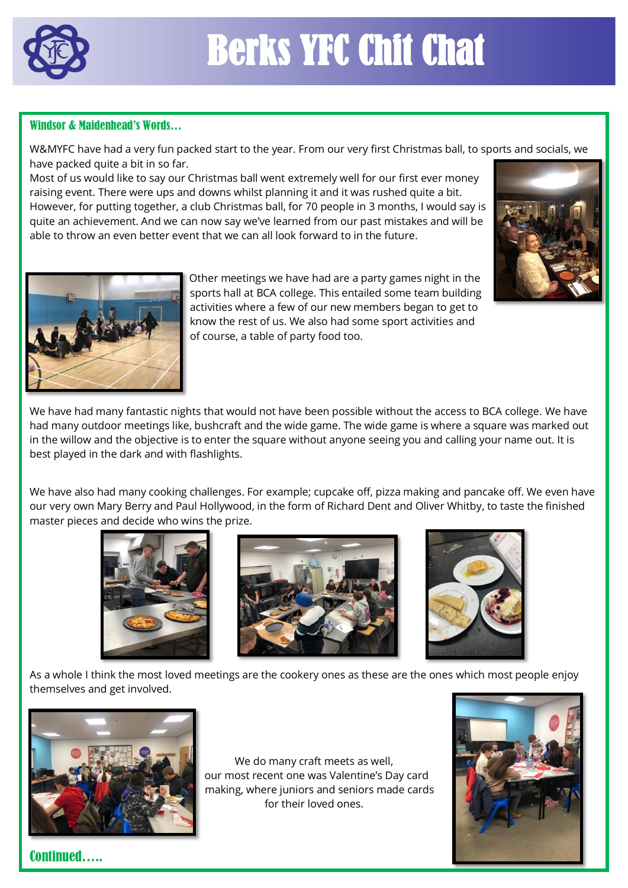

#### Windsor & Maidenhead's Words…

W&MYFC have had a very fun packed start to the year. From our very first Christmas ball, to sports and socials, we have packed quite a bit in so far.

Most of us would like to say our Christmas ball went extremely well for our first ever money raising event. There were ups and downs whilst planning it and it was rushed quite a bit. However, for putting together, a club Christmas ball, for 70 people in 3 months, I would say is quite an achievement. And we can now say we've learned from our past mistakes and will be able to throw an even better event that we can all look forward to in the future.





 Other meetings we have had are a party games night in the sports hall at BCA college. This entailed some team building activities where a few of our new members began to get to know the rest of us. We also had some sport activities and of course, a table of party food too.

We have had many fantastic nights that would not have been possible without the access to BCA college. We have had many outdoor meetings like, bushcraft and the wide game. The wide game is where a square was marked out in the willow and the objective is to enter the square without anyone seeing you and calling your name out. It is best played in the dark and with flashlights.

We have also had many cooking challenges. For example; cupcake off, pizza making and pancake off. We even have our very own Mary Berry and Paul Hollywood, in the form of Richard Dent and Oliver Whitby, to taste the finished master pieces and decide who wins the prize.





As a whole I think the most loved meetings are the cookery ones as these are the ones which most people enjoy themselves and get involved.



We do many craft meets as well, our most recent one was Valentine's Day card making, where juniors and seniors made cards for their loved ones.



Continued…..